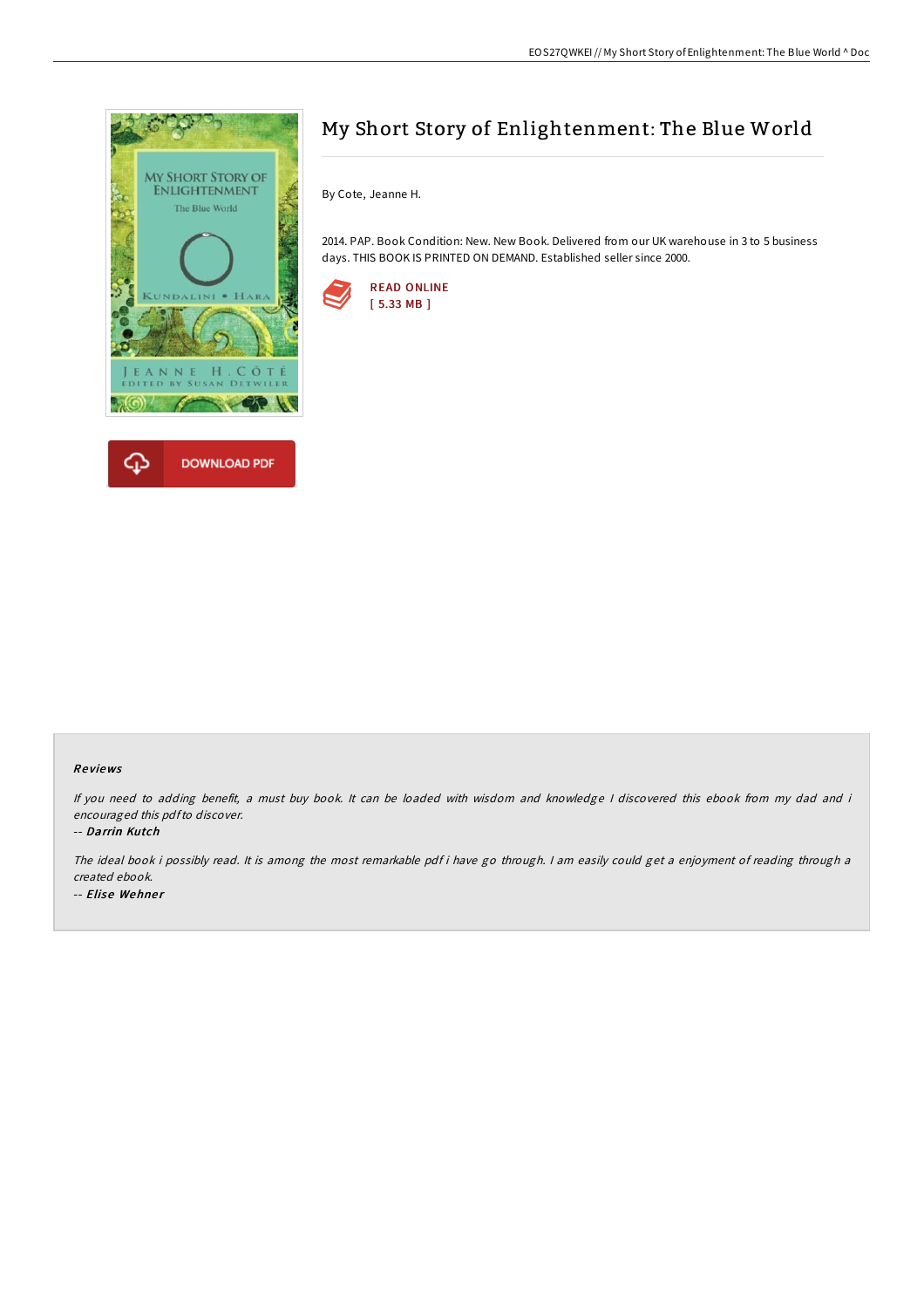

# My Short Story of Enlightenment: The Blue World

By Cote, Jeanne H.

2014. PAP. Book Condition: New. New Book. Delivered from our UK warehouse in 3 to 5 business days. THIS BOOK IS PRINTED ON DEMAND. Established seller since 2000.



#### Re views

If you need to adding benefit, <sup>a</sup> must buy book. It can be loaded with wisdom and knowledge <sup>I</sup> discovered this ebook from my dad and i encouraged this pdfto discover.

-- Darrin Kutch

The ideal book i possibly read. It is among the most remarkable pdf i have go through. <sup>I</sup> am easily could get <sup>a</sup> enjoyment of reading through <sup>a</sup> created ebook. -- Elise Wehner